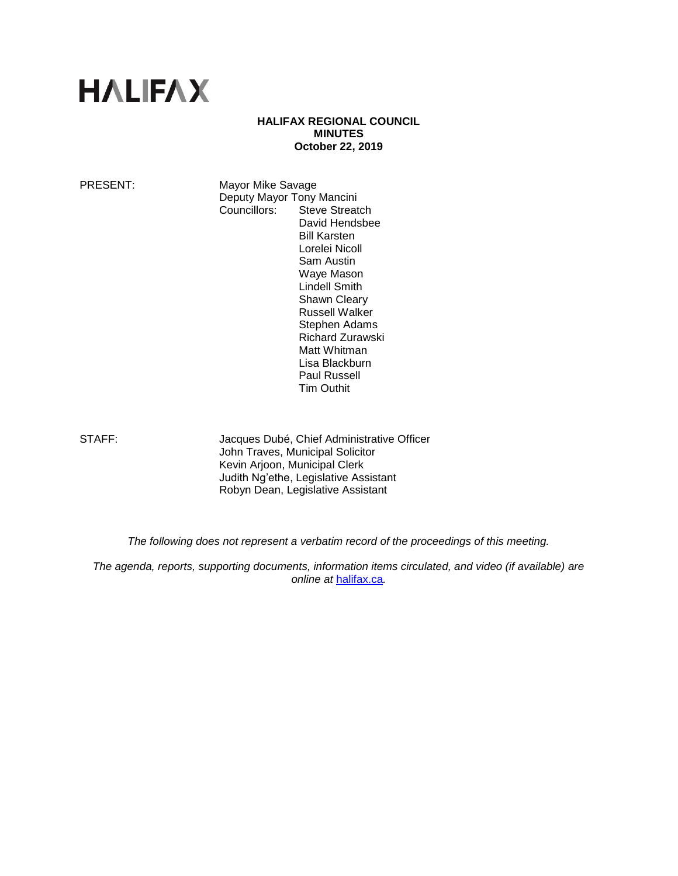# **HALIFAX**

#### **HALIFAX REGIONAL COUNCIL MINUTES October 22, 2019**

PRESENT: Mayor Mike Savage Deputy Mayor Tony Mancini Councillors: Steve Streatch David Hendsbee Bill Karsten Lorelei Nicoll Sam Austin Waye Mason Lindell Smith Shawn Cleary Russell Walker Stephen Adams Richard Zurawski Matt Whitman Lisa Blackburn Paul Russell

STAFF: Jacques Dubé, Chief Administrative Officer John Traves, Municipal Solicitor Kevin Arjoon, Municipal Clerk Judith Ng'ethe, Legislative Assistant Robyn Dean, Legislative Assistant

Tim Outhit

*The following does not represent a verbatim record of the proceedings of this meeting.*

*The agenda, reports, supporting documents, information items circulated, and video (if available) are online at* [halifax.ca](http://www.halifax.ca/)*.*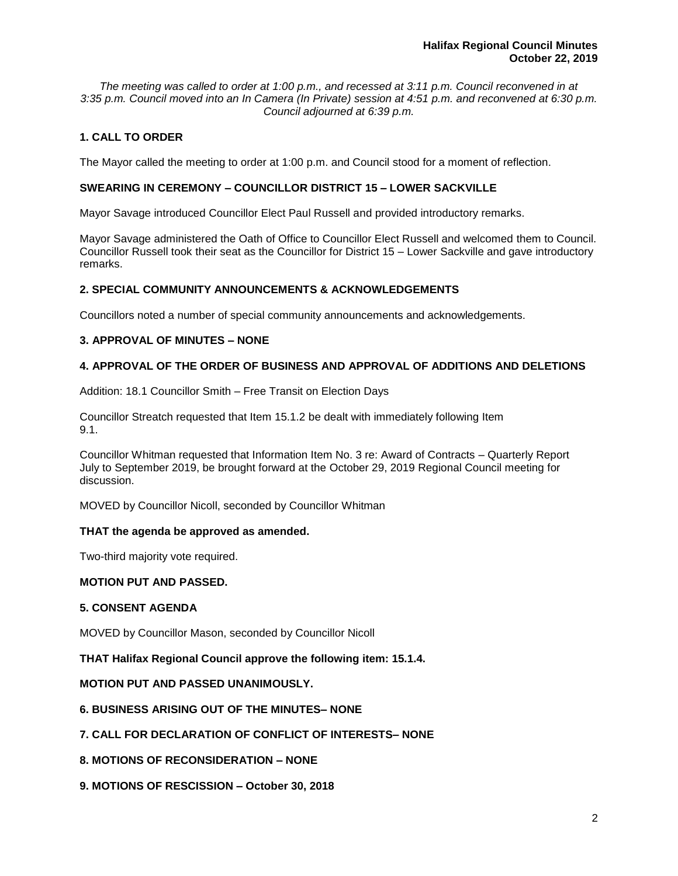*The meeting was called to order at 1:00 p.m., and recessed at 3:11 p.m. Council reconvened in at 3:35 p.m. Council moved into an In Camera (In Private) session at 4:51 p.m. and reconvened at 6:30 p.m. Council adjourned at 6:39 p.m.*

# **1. CALL TO ORDER**

The Mayor called the meeting to order at 1:00 p.m. and Council stood for a moment of reflection.

# **SWEARING IN CEREMONY – COUNCILLOR DISTRICT 15 – LOWER SACKVILLE**

Mayor Savage introduced Councillor Elect Paul Russell and provided introductory remarks.

Mayor Savage administered the Oath of Office to Councillor Elect Russell and welcomed them to Council. Councillor Russell took their seat as the Councillor for District 15 – Lower Sackville and gave introductory remarks.

## **2. SPECIAL COMMUNITY ANNOUNCEMENTS & ACKNOWLEDGEMENTS**

Councillors noted a number of special community announcements and acknowledgements.

## **3. APPROVAL OF MINUTES – NONE**

## **4. APPROVAL OF THE ORDER OF BUSINESS AND APPROVAL OF ADDITIONS AND DELETIONS**

Addition: 18.1 Councillor Smith – Free Transit on Election Days

Councillor Streatch requested that Item 15.1.2 be dealt with immediately following Item 9.1.

Councillor Whitman requested that Information Item No. 3 re: Award of Contracts – Quarterly Report July to September 2019, be brought forward at the October 29, 2019 Regional Council meeting for discussion.

MOVED by Councillor Nicoll, seconded by Councillor Whitman

### **THAT the agenda be approved as amended.**

Two-third majority vote required.

### **MOTION PUT AND PASSED.**

### **5. CONSENT AGENDA**

MOVED by Councillor Mason, seconded by Councillor Nicoll

**THAT Halifax Regional Council approve the following item: 15.1.4.**

## **MOTION PUT AND PASSED UNANIMOUSLY.**

### **6. BUSINESS ARISING OUT OF THE MINUTES– NONE**

- **7. CALL FOR DECLARATION OF CONFLICT OF INTERESTS– NONE**
- **8. MOTIONS OF RECONSIDERATION – NONE**
- **9. MOTIONS OF RESCISSION – October 30, 2018**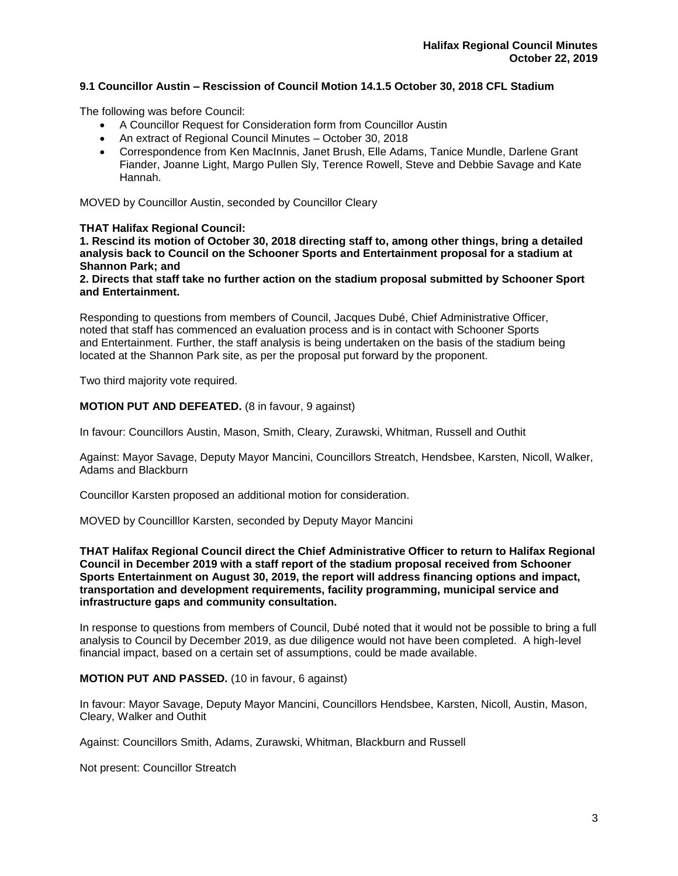## **9.1 Councillor Austin – Rescission of Council Motion 14.1.5 October 30, 2018 CFL Stadium**

The following was before Council:

- A Councillor Request for Consideration form from Councillor Austin
- An extract of Regional Council Minutes October 30, 2018
- Correspondence from Ken MacInnis, Janet Brush, Elle Adams, Tanice Mundle, Darlene Grant Fiander, Joanne Light, Margo Pullen Sly, Terence Rowell, Steve and Debbie Savage and Kate Hannah.

MOVED by Councillor Austin, seconded by Councillor Cleary

### **THAT Halifax Regional Council:**

**1. Rescind its motion of October 30, 2018 directing staff to, among other things, bring a detailed analysis back to Council on the Schooner Sports and Entertainment proposal for a stadium at Shannon Park; and**

**2. Directs that staff take no further action on the stadium proposal submitted by Schooner Sport and Entertainment.**

Responding to questions from members of Council, Jacques Dubé, Chief Administrative Officer, noted that staff has commenced an evaluation process and is in contact with Schooner Sports and Entertainment. Further, the staff analysis is being undertaken on the basis of the stadium being located at the Shannon Park site, as per the proposal put forward by the proponent.

Two third majority vote required.

#### **MOTION PUT AND DEFEATED.** (8 in favour, 9 against)

In favour: Councillors Austin, Mason, Smith, Cleary, Zurawski, Whitman, Russell and Outhit

Against: Mayor Savage, Deputy Mayor Mancini, Councillors Streatch, Hendsbee, Karsten, Nicoll, Walker, Adams and Blackburn

Councillor Karsten proposed an additional motion for consideration.

MOVED by Councilllor Karsten, seconded by Deputy Mayor Mancini

**THAT Halifax Regional Council direct the Chief Administrative Officer to return to Halifax Regional Council in December 2019 with a staff report of the stadium proposal received from Schooner Sports Entertainment on August 30, 2019, the report will address financing options and impact, transportation and development requirements, facility programming, municipal service and infrastructure gaps and community consultation.**

In response to questions from members of Council, Dubé noted that it would not be possible to bring a full analysis to Council by December 2019, as due diligence would not have been completed. A high-level financial impact, based on a certain set of assumptions, could be made available.

### **MOTION PUT AND PASSED.** (10 in favour, 6 against)

In favour: Mayor Savage, Deputy Mayor Mancini, Councillors Hendsbee, Karsten, Nicoll, Austin, Mason, Cleary, Walker and Outhit

Against: Councillors Smith, Adams, Zurawski, Whitman, Blackburn and Russell

Not present: Councillor Streatch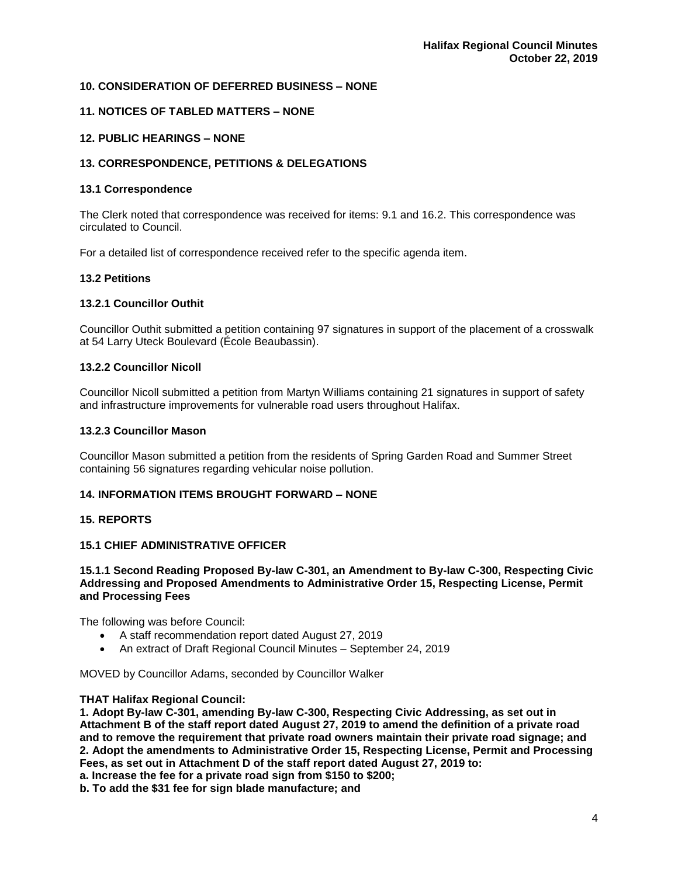## **10. CONSIDERATION OF DEFERRED BUSINESS – NONE**

## **11. NOTICES OF TABLED MATTERS – NONE**

## **12. PUBLIC HEARINGS – NONE**

## **13. CORRESPONDENCE, PETITIONS & DELEGATIONS**

### **13.1 Correspondence**

The Clerk noted that correspondence was received for items: 9.1 and 16.2. This correspondence was circulated to Council.

For a detailed list of correspondence received refer to the specific agenda item.

### **13.2 Petitions**

### **13.2.1 Councillor Outhit**

Councillor Outhit submitted a petition containing 97 signatures in support of the placement of a crosswalk at 54 Larry Uteck Boulevard (École Beaubassin).

## **13.2.2 Councillor Nicoll**

Councillor Nicoll submitted a petition from Martyn Williams containing 21 signatures in support of safety and infrastructure improvements for vulnerable road users throughout Halifax.

#### **13.2.3 Councillor Mason**

Councillor Mason submitted a petition from the residents of Spring Garden Road and Summer Street containing 56 signatures regarding vehicular noise pollution.

# **14. INFORMATION ITEMS BROUGHT FORWARD – NONE**

### **15. REPORTS**

## **15.1 CHIEF ADMINISTRATIVE OFFICER**

**15.1.1 Second Reading Proposed By-law C-301, an Amendment to By-law C-300, Respecting Civic Addressing and Proposed Amendments to Administrative Order 15, Respecting License, Permit and Processing Fees**

The following was before Council:

- A staff recommendation report dated August 27, 2019
- An extract of Draft Regional Council Minutes September 24, 2019

MOVED by Councillor Adams, seconded by Councillor Walker

### **THAT Halifax Regional Council:**

**1. Adopt By-law C-301, amending By-law C-300, Respecting Civic Addressing, as set out in Attachment B of the staff report dated August 27, 2019 to amend the definition of a private road and to remove the requirement that private road owners maintain their private road signage; and 2. Adopt the amendments to Administrative Order 15, Respecting License, Permit and Processing Fees, as set out in Attachment D of the staff report dated August 27, 2019 to:**

**a. Increase the fee for a private road sign from \$150 to \$200;**

**b. To add the \$31 fee for sign blade manufacture; and**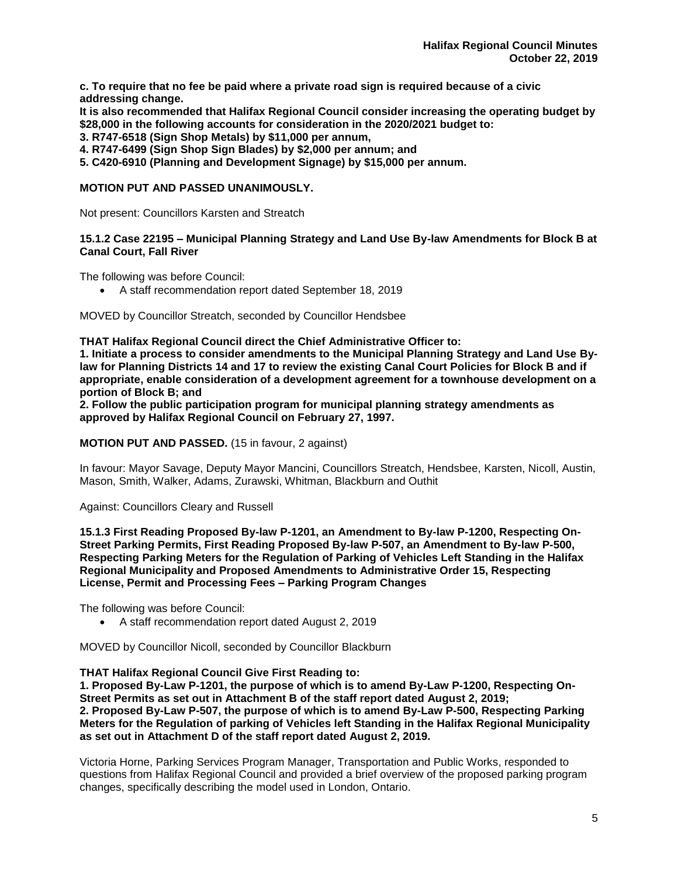**c. To require that no fee be paid where a private road sign is required because of a civic addressing change.**

**It is also recommended that Halifax Regional Council consider increasing the operating budget by \$28,000 in the following accounts for consideration in the 2020/2021 budget to:**

**3. R747-6518 (Sign Shop Metals) by \$11,000 per annum,**

**4. R747-6499 (Sign Shop Sign Blades) by \$2,000 per annum; and**

**5. C420-6910 (Planning and Development Signage) by \$15,000 per annum.**

## **MOTION PUT AND PASSED UNANIMOUSLY.**

Not present: Councillors Karsten and Streatch

**15.1.2 Case 22195 – Municipal Planning Strategy and Land Use By-law Amendments for Block B at Canal Court, Fall River**

The following was before Council:

• A staff recommendation report dated September 18, 2019

MOVED by Councillor Streatch, seconded by Councillor Hendsbee

**THAT Halifax Regional Council direct the Chief Administrative Officer to:**

**1. Initiate a process to consider amendments to the Municipal Planning Strategy and Land Use Bylaw for Planning Districts 14 and 17 to review the existing Canal Court Policies for Block B and if appropriate, enable consideration of a development agreement for a townhouse development on a portion of Block B; and**

**2. Follow the public participation program for municipal planning strategy amendments as approved by Halifax Regional Council on February 27, 1997.**

**MOTION PUT AND PASSED.** (15 in favour, 2 against)

In favour: Mayor Savage, Deputy Mayor Mancini, Councillors Streatch, Hendsbee, Karsten, Nicoll, Austin, Mason, Smith, Walker, Adams, Zurawski, Whitman, Blackburn and Outhit

Against: Councillors Cleary and Russell

**15.1.3 First Reading Proposed By-law P-1201, an Amendment to By-law P-1200, Respecting On-Street Parking Permits, First Reading Proposed By-law P-507, an Amendment to By-law P-500, Respecting Parking Meters for the Regulation of Parking of Vehicles Left Standing in the Halifax Regional Municipality and Proposed Amendments to Administrative Order 15, Respecting License, Permit and Processing Fees – Parking Program Changes**

The following was before Council:

• A staff recommendation report dated August 2, 2019

MOVED by Councillor Nicoll, seconded by Councillor Blackburn

**THAT Halifax Regional Council Give First Reading to:**

**1. Proposed By-Law P-1201, the purpose of which is to amend By-Law P-1200, Respecting On-Street Permits as set out in Attachment B of the staff report dated August 2, 2019; 2. Proposed By-Law P-507, the purpose of which is to amend By-Law P-500, Respecting Parking Meters for the Regulation of parking of Vehicles left Standing in the Halifax Regional Municipality as set out in Attachment D of the staff report dated August 2, 2019.**

Victoria Horne, Parking Services Program Manager, Transportation and Public Works, responded to questions from Halifax Regional Council and provided a brief overview of the proposed parking program changes, specifically describing the model used in London, Ontario.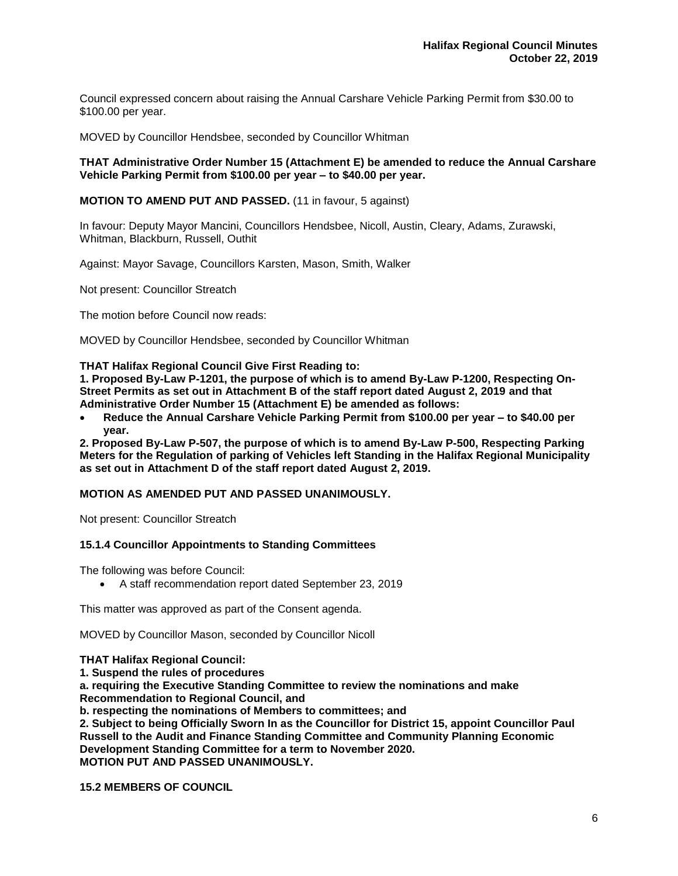Council expressed concern about raising the Annual Carshare Vehicle Parking Permit from \$30.00 to \$100.00 per year.

MOVED by Councillor Hendsbee, seconded by Councillor Whitman

#### **THAT Administrative Order Number 15 (Attachment E) be amended to reduce the Annual Carshare Vehicle Parking Permit from \$100.00 per year – to \$40.00 per year.**

## **MOTION TO AMEND PUT AND PASSED.** (11 in favour, 5 against)

In favour: Deputy Mayor Mancini, Councillors Hendsbee, Nicoll, Austin, Cleary, Adams, Zurawski, Whitman, Blackburn, Russell, Outhit

Against: Mayor Savage, Councillors Karsten, Mason, Smith, Walker

Not present: Councillor Streatch

The motion before Council now reads:

MOVED by Councillor Hendsbee, seconded by Councillor Whitman

#### **THAT Halifax Regional Council Give First Reading to:**

**1. Proposed By-Law P-1201, the purpose of which is to amend By-Law P-1200, Respecting On-Street Permits as set out in Attachment B of the staff report dated August 2, 2019 and that Administrative Order Number 15 (Attachment E) be amended as follows:**

• **Reduce the Annual Carshare Vehicle Parking Permit from \$100.00 per year – to \$40.00 per year.**

**2. Proposed By-Law P-507, the purpose of which is to amend By-Law P-500, Respecting Parking Meters for the Regulation of parking of Vehicles left Standing in the Halifax Regional Municipality as set out in Attachment D of the staff report dated August 2, 2019.**

#### **MOTION AS AMENDED PUT AND PASSED UNANIMOUSLY.**

Not present: Councillor Streatch

### **15.1.4 Councillor Appointments to Standing Committees**

The following was before Council:

• A staff recommendation report dated September 23, 2019

This matter was approved as part of the Consent agenda.

MOVED by Councillor Mason, seconded by Councillor Nicoll

#### **THAT Halifax Regional Council:**

**1. Suspend the rules of procedures** 

**a. requiring the Executive Standing Committee to review the nominations and make Recommendation to Regional Council, and** 

**b. respecting the nominations of Members to committees; and**

**2. Subject to being Officially Sworn In as the Councillor for District 15, appoint Councillor Paul Russell to the Audit and Finance Standing Committee and Community Planning Economic Development Standing Committee for a term to November 2020. MOTION PUT AND PASSED UNANIMOUSLY.** 

**15.2 MEMBERS OF COUNCIL**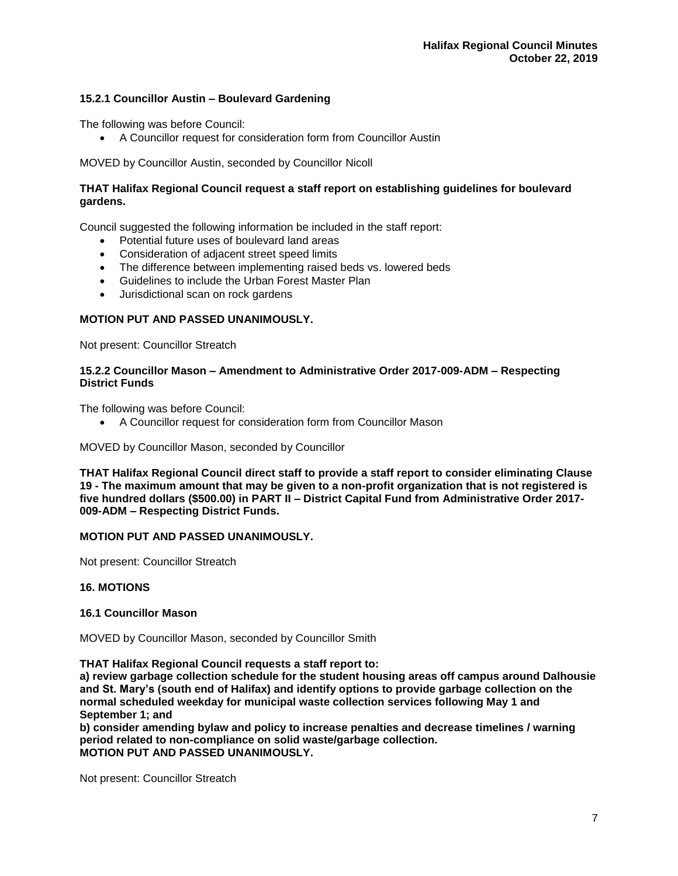## **15.2.1 Councillor Austin – Boulevard Gardening**

The following was before Council:

• A Councillor request for consideration form from Councillor Austin

MOVED by Councillor Austin, seconded by Councillor Nicoll

## **THAT Halifax Regional Council request a staff report on establishing guidelines for boulevard gardens.**

Council suggested the following information be included in the staff report:

- Potential future uses of boulevard land areas
- Consideration of adjacent street speed limits
- The difference between implementing raised beds vs. lowered beds
- Guidelines to include the Urban Forest Master Plan
- Jurisdictional scan on rock gardens

## **MOTION PUT AND PASSED UNANIMOUSLY.**

Not present: Councillor Streatch

#### **15.2.2 Councillor Mason – Amendment to Administrative Order 2017-009-ADM – Respecting District Funds**

The following was before Council:

• A Councillor request for consideration form from Councillor Mason

MOVED by Councillor Mason, seconded by Councillor

**THAT Halifax Regional Council direct staff to provide a staff report to consider eliminating Clause 19 - The maximum amount that may be given to a non-profit organization that is not registered is five hundred dollars (\$500.00) in PART II – District Capital Fund from Administrative Order 2017- 009-ADM – Respecting District Funds.**

## **MOTION PUT AND PASSED UNANIMOUSLY.**

Not present: Councillor Streatch

### **16. MOTIONS**

### **16.1 Councillor Mason**

MOVED by Councillor Mason, seconded by Councillor Smith

**THAT Halifax Regional Council requests a staff report to:** 

**a) review garbage collection schedule for the student housing areas off campus around Dalhousie and St. Mary's (south end of Halifax) and identify options to provide garbage collection on the normal scheduled weekday for municipal waste collection services following May 1 and September 1; and**

**b) consider amending bylaw and policy to increase penalties and decrease timelines / warning period related to non-compliance on solid waste/garbage collection. MOTION PUT AND PASSED UNANIMOUSLY.** 

Not present: Councillor Streatch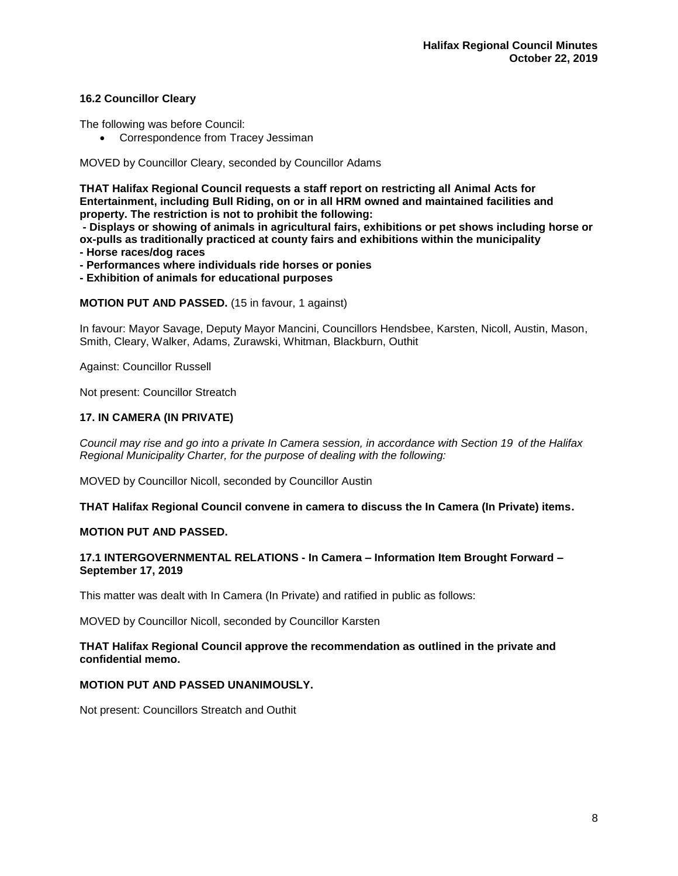## **16.2 Councillor Cleary**

The following was before Council:

• Correspondence from Tracey Jessiman

MOVED by Councillor Cleary, seconded by Councillor Adams

**THAT Halifax Regional Council requests a staff report on restricting all Animal Acts for Entertainment, including Bull Riding, on or in all HRM owned and maintained facilities and property. The restriction is not to prohibit the following:**

**- Displays or showing of animals in agricultural fairs, exhibitions or pet shows including horse or ox-pulls as traditionally practiced at county fairs and exhibitions within the municipality - Horse races/dog races**

**- Performances where individuals ride horses or ponies**

**- Exhibition of animals for educational purposes**

**MOTION PUT AND PASSED.** (15 in favour, 1 against)

In favour: Mayor Savage, Deputy Mayor Mancini, Councillors Hendsbee, Karsten, Nicoll, Austin, Mason, Smith, Cleary, Walker, Adams, Zurawski, Whitman, Blackburn, Outhit

Against: Councillor Russell

Not present: Councillor Streatch

### **17. IN CAMERA (IN PRIVATE)**

*Council may rise and go into a private In Camera session, in accordance with Section 19 of the Halifax Regional Municipality Charter, for the purpose of dealing with the following:*

MOVED by Councillor Nicoll, seconded by Councillor Austin

**THAT Halifax Regional Council convene in camera to discuss the In Camera (In Private) items.**

### **MOTION PUT AND PASSED.**

### **17.1 INTERGOVERNMENTAL RELATIONS - In Camera – Information Item Brought Forward – September 17, 2019**

This matter was dealt with In Camera (In Private) and ratified in public as follows:

MOVED by Councillor Nicoll, seconded by Councillor Karsten

### **THAT Halifax Regional Council approve the recommendation as outlined in the private and confidential memo.**

### **MOTION PUT AND PASSED UNANIMOUSLY.**

Not present: Councillors Streatch and Outhit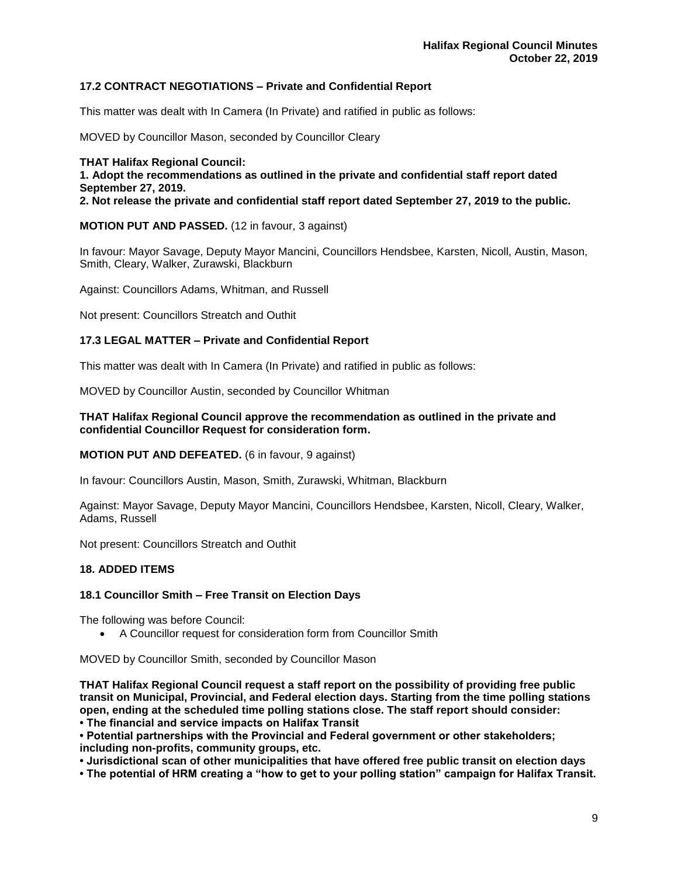## **17.2 CONTRACT NEGOTIATIONS – Private and Confidential Report**

This matter was dealt with In Camera (In Private) and ratified in public as follows:

MOVED by Councillor Mason, seconded by Councillor Cleary

**THAT Halifax Regional Council: 1. Adopt the recommendations as outlined in the private and confidential staff report dated September 27, 2019. 2. Not release the private and confidential staff report dated September 27, 2019 to the public.**

**MOTION PUT AND PASSED.** (12 in favour, 3 against)

In favour: Mayor Savage, Deputy Mayor Mancini, Councillors Hendsbee, Karsten, Nicoll, Austin, Mason, Smith, Cleary, Walker, Zurawski, Blackburn

Against: Councillors Adams, Whitman, and Russell

Not present: Councillors Streatch and Outhit

### **17.3 LEGAL MATTER – Private and Confidential Report**

This matter was dealt with In Camera (In Private) and ratified in public as follows:

MOVED by Councillor Austin, seconded by Councillor Whitman

### **THAT Halifax Regional Council approve the recommendation as outlined in the private and confidential Councillor Request for consideration form.**

**MOTION PUT AND DEFEATED.** (6 in favour, 9 against)

In favour: Councillors Austin, Mason, Smith, Zurawski, Whitman, Blackburn

Against: Mayor Savage, Deputy Mayor Mancini, Councillors Hendsbee, Karsten, Nicoll, Cleary, Walker, Adams, Russell

Not present: Councillors Streatch and Outhit

### **18. ADDED ITEMS**

### **18.1 Councillor Smith – Free Transit on Election Days**

The following was before Council:

• A Councillor request for consideration form from Councillor Smith

MOVED by Councillor Smith, seconded by Councillor Mason

**THAT Halifax Regional Council request a staff report on the possibility of providing free public transit on Municipal, Provincial, and Federal election days. Starting from the time polling stations open, ending at the scheduled time polling stations close. The staff report should consider:**

**• The financial and service impacts on Halifax Transit** 

**• Potential partnerships with the Provincial and Federal government or other stakeholders; including non-profits, community groups, etc.** 

**• Jurisdictional scan of other municipalities that have offered free public transit on election days**

**• The potential of HRM creating a "how to get to your polling station" campaign for Halifax Transit.**